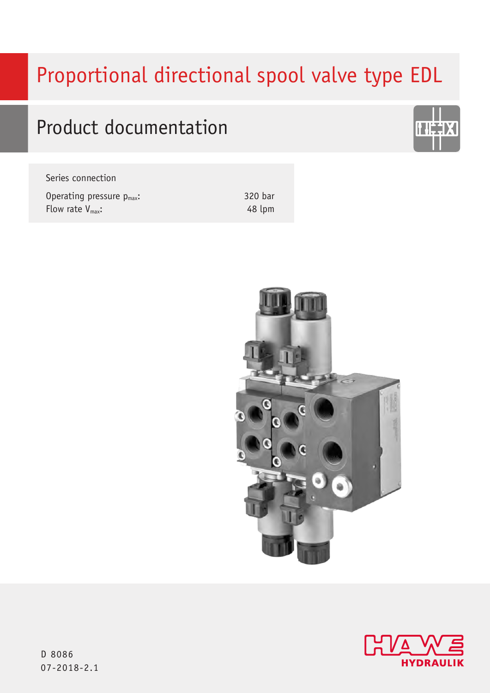# Proportional directional spool valve type EDL

# Product documentation

| Series connection              |
|--------------------------------|
| Operating pressure $p_{max}$ : |
| Flow rate $V_{\text{max}}$ :   |

320 bar 48 lpm





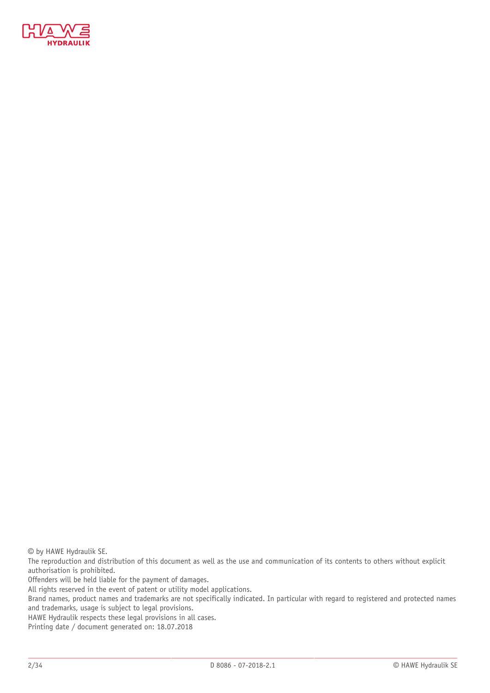

© by HAWE Hydraulik SE.

The reproduction and distribution of this document as well as the use and communication of its contents to others without explicit authorisation is prohibited.

Offenders will be held liable for the payment of damages.

All rights reserved in the event of patent or utility model applications.

Brand names, product names and trademarks are not specifically indicated. In particular with regard to registered and protected names and trademarks, usage is subject to legal provisions.

HAWE Hydraulik respects these legal provisions in all cases.

Printing date / document generated on: 18.07.2018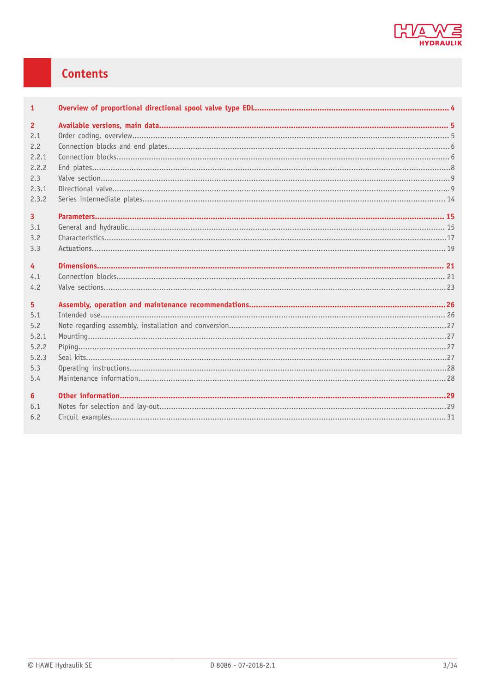

# Contents

| $\mathbf{1}$   |  |
|----------------|--|
| $\overline{2}$ |  |
| 2.1            |  |
| 2.2            |  |
| 2.2.1          |  |
| 2.2.2          |  |
| 2.3            |  |
| 2.3.1          |  |
| 2.3.2          |  |
| $\overline{3}$ |  |
| 3.1            |  |
| 3.2            |  |
| 3.3            |  |
|                |  |
| $\overline{4}$ |  |
| 4.1            |  |
| 4.2            |  |
| 5              |  |
| 5.1            |  |
| 5.2            |  |
| 5.2.1          |  |
| 5.2.2          |  |
| 5.2.3          |  |
| 5.3            |  |
| 5.4            |  |
| 6              |  |
| 6.1            |  |
| 6.2            |  |
|                |  |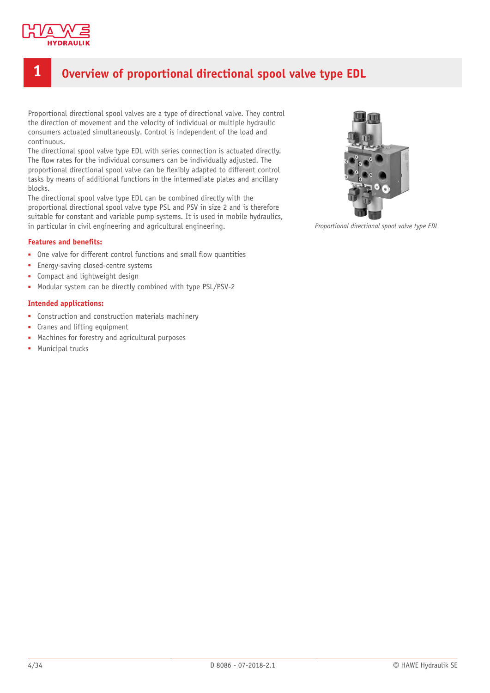

# <span id="page-3-0"></span>**1 Overview of proportional directional spool valve type EDL**

Proportional directional spool valves are a type of directional valve. They control the direction of movement and the velocity of individual or multiple hydraulic consumers actuated simultaneously. Control is independent of the load and continuous.

The directional spool valve type EDL with series connection is actuated directly. The flow rates for the individual consumers can be individually adjusted. The proportional directional spool valve can be flexibly adapted to different control tasks by means of additional functions in the intermediate plates and ancillary blocks.

The directional spool valve type EDL can be combined directly with the proportional directional spool valve type PSL and PSV in size 2 and is therefore suitable for constant and variable pump systems. It is used in mobile hydraulics, in particular in civil engineering and agricultural engineering.

#### **Features and benefits:**

- One valve for different control functions and small flow quantities
- Energy-saving closed-centre systems
- Compact and lightweight design
- Modular system can be directly combined with type PSL/PSV-2

#### **Intended applications:**

- Construction and construction materials machinery
- Cranes and lifting equipment
- Machines for forestry and agricultural purposes
- **■** Municipal trucks



*Proportional directional spool valve type EDL*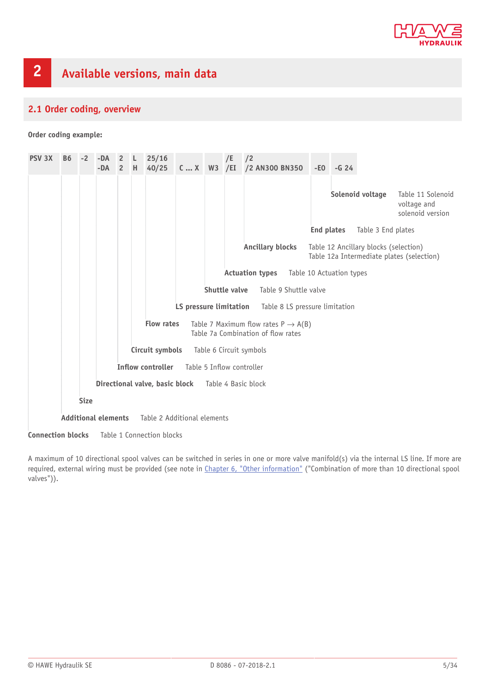

# <span id="page-4-1"></span><span id="page-4-0"></span>**2.1 Order coding, overview**

**Order coding example:**

| <b>PSV 3X</b>            | <b>B6</b>                                                                                                  | $-2$ | $-DA$<br>$-DA$ | $\overline{2}$<br>2 H | L. | 25/16<br>40/25            | $CX$ W3 /EI            |               | /E | /2<br>/2 AN300 BN350           | $-EO$ | $-G24$                   |                                       |                                                      |
|--------------------------|------------------------------------------------------------------------------------------------------------|------|----------------|-----------------------|----|---------------------------|------------------------|---------------|----|--------------------------------|-------|--------------------------|---------------------------------------|------------------------------------------------------|
|                          |                                                                                                            |      |                |                       |    |                           |                        |               |    |                                |       |                          | Solenoid voltage                      | Table 11 Solenoid<br>voltage and<br>solenoid version |
|                          |                                                                                                            |      |                |                       |    |                           |                        |               |    |                                |       | <b>End plates</b>        | Table 3 End plates                    |                                                      |
|                          |                                                                                                            |      |                |                       |    |                           |                        |               |    | <b>Ancillary blocks</b>        |       |                          | Table 12 Ancillary blocks (selection) | Table 12a Intermediate plates (selection)            |
|                          |                                                                                                            |      |                |                       |    |                           |                        |               |    | <b>Actuation types</b>         |       | Table 10 Actuation types |                                       |                                                      |
|                          |                                                                                                            |      |                |                       |    |                           |                        | Shuttle valve |    | Table 9 Shuttle valve          |       |                          |                                       |                                                      |
|                          |                                                                                                            |      |                |                       |    |                           | LS pressure limitation |               |    | Table 8 LS pressure limitation |       |                          |                                       |                                                      |
|                          | <b>Flow rates</b><br>Table 7 Maximum flow rates $P \rightarrow A(B)$<br>Table 7a Combination of flow rates |      |                |                       |    |                           |                        |               |    |                                |       |                          |                                       |                                                      |
|                          |                                                                                                            |      |                |                       |    | Circuit symbols           |                        |               |    | Table 6 Circuit symbols        |       |                          |                                       |                                                      |
|                          |                                                                                                            |      |                |                       |    | <b>Inflow controller</b>  |                        |               |    | Table 5 Inflow controller      |       |                          |                                       |                                                      |
|                          | Directional valve, basic block Table 4 Basic block                                                         |      |                |                       |    |                           |                        |               |    |                                |       |                          |                                       |                                                      |
|                          | <b>Size</b>                                                                                                |      |                |                       |    |                           |                        |               |    |                                |       |                          |                                       |                                                      |
|                          | <b>Additional elements</b><br>Table 2 Additional elements                                                  |      |                |                       |    |                           |                        |               |    |                                |       |                          |                                       |                                                      |
| <b>Connection blocks</b> |                                                                                                            |      |                |                       |    | Table 1 Connection blocks |                        |               |    |                                |       |                          |                                       |                                                      |

A maximum of 10 directional spool valves can be switched in series in one or more valve manifold(s) via the internal LS line. If more are required, external wiring must be provided (see note in [Chapter 6, "Other information"](#page-28-0) ("Combination of more than 10 directional spool valves")).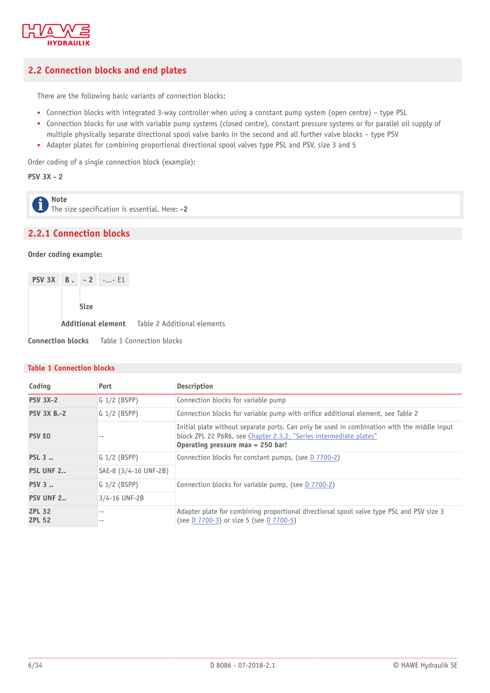

# <span id="page-5-0"></span>**2.2 Connection blocks and end plates**

There are the following basic variants of connection blocks:

- Connection blocks with integrated 3-way controller when using a constant pump system (open centre) type PSL
- Connection blocks for use with variable pump systems (closed centre), constant pressure systems or for parallel oil supply of multiple physically separate directional spool valve banks in the second and all further valve blocks – type PSV
- Adapter plates for combining proportional directional spool valves type PSL and PSV, size 3 and 5

Order coding of a single connection block (example):

**PSV 3X - 2**

**Note**  $\mathbf{\hat{i}}$ The size specification is essential. Here: **-2**

# <span id="page-5-1"></span>**2.2.1 Connection blocks**

#### **Order coding example:**

|  |             | <b>PSV 3X B.</b> $-2$ -- E1 |                                                       |
|--|-------------|-----------------------------|-------------------------------------------------------|
|  |             |                             |                                                       |
|  | <b>Size</b> |                             |                                                       |
|  |             |                             | <b>Additional element</b> Table 2 Additional elements |
|  |             |                             | <b>Connection blocks</b> Table 1 Connection blocks    |

#### **Table 1 Connection blocks**

| Coding                         | Port                  | Description                                                                                                                                                                                              |
|--------------------------------|-----------------------|----------------------------------------------------------------------------------------------------------------------------------------------------------------------------------------------------------|
| <b>PSV 3X-2</b>                | $G$ 1/2 (BSPP)        | Connection blocks for variable pump                                                                                                                                                                      |
| <b>PSV 3X B.-2</b>             | $G$ 1/2 (BSPP)        | Connection blocks for variable pump with orifice additional element, see Table 2                                                                                                                         |
| <b>PSV EO</b>                  |                       | Initial plate without separate ports. Can only be used in combination with the middle input<br>block ZPL 22 P6R6, see Chapter 2.3.2, "Series intermediate plates"<br>Operating pressure max $= 250$ bar! |
| <b>PSL 3</b>                   | $G$ 1/2 (BSPP)        | Connection blocks for constant pumps, (see D 7700-2)                                                                                                                                                     |
| <b>PSL UNF 2</b>               | SAE-8 (3/4-16 UNF-2B) |                                                                                                                                                                                                          |
| <b>PSV 3</b>                   | $G$ 1/2 (BSPP)        | Connection blocks for variable pump, (see D 7700-2)                                                                                                                                                      |
| <b>PSV UNF 2</b>               | 3/4-16 UNF-2B         |                                                                                                                                                                                                          |
| <b>ZPL 32</b><br><b>ZPL 52</b> |                       | Adapter plate for combining proportional directional spool valve type PSL and PSV size 3<br>(see D 7700-3) or size 5 (see D 7700-5)                                                                      |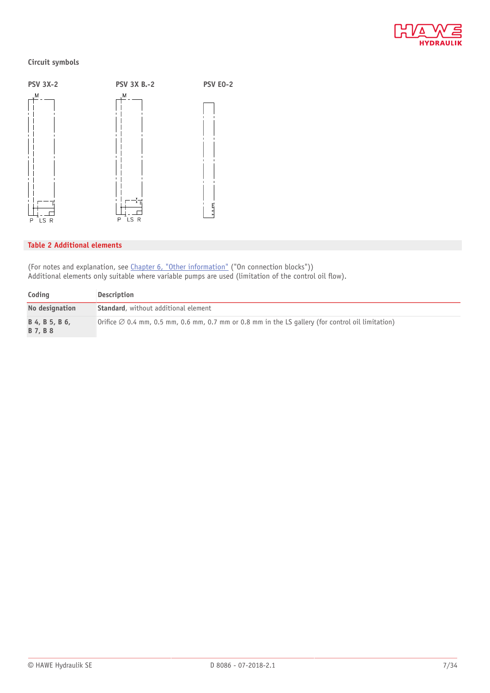

#### **Circuit symbols**



#### **Table 2 Additional elements**

(For notes and explanation, see [Chapter 6, "Other information"](#page-28-0) ("On connection blocks")) Additional elements only suitable where variable pumps are used (limitation of the control oil flow).

| Coding                                   | Description                                                                                                           |
|------------------------------------------|-----------------------------------------------------------------------------------------------------------------------|
| No designation                           | <b>Standard</b> , without additional element                                                                          |
| B 4, B 5, B 6,<br><b>B</b> 7, <b>B</b> 8 | $\vert$ Orifice $\varnothing$ 0.4 mm, 0.5 mm, 0.6 mm, 0.7 mm or 0.8 mm in the LS gallery (for control oil limitation) |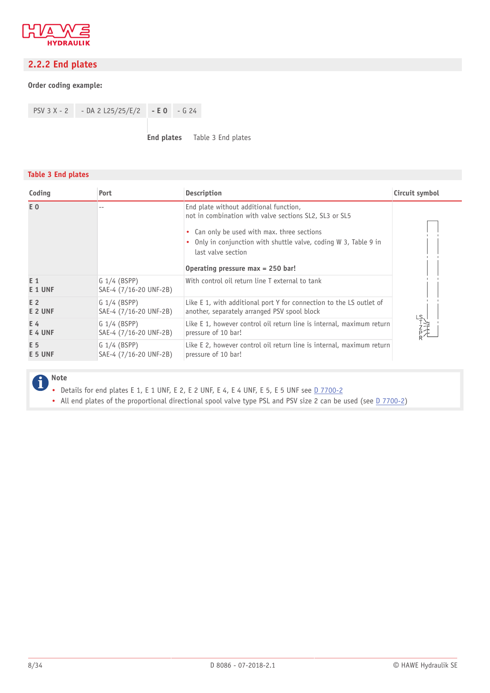

# <span id="page-7-0"></span>**2.2.2 End plates**

#### **Order coding example:**

PSV 3 X - 2 - DA 2 L25/25/E/2 **- E 0** - G 24

**End plates** Table 3 End plates

#### **Table 3 End plates**

| Coding         | Port                                     | <b>Description</b>                                                                                                                                                                                                                                                             | Circuit symbol                                                                                   |
|----------------|------------------------------------------|--------------------------------------------------------------------------------------------------------------------------------------------------------------------------------------------------------------------------------------------------------------------------------|--------------------------------------------------------------------------------------------------|
| E <sub>0</sub> |                                          | End plate without additional function,<br>not in combination with valve sections SL2, SL3 or SL5<br>Can only be used with max. three sections<br>• Only in conjunction with shuttle valve, coding W 3, Table 9 in<br>last valve section<br>Operating pressure max = $250$ bar! |                                                                                                  |
| E 1<br>E 1 UNF | $G$ 1/4 (BSPP)<br>SAE-4 (7/16-20 UNF-2B) | With control oil return line T external to tank                                                                                                                                                                                                                                |                                                                                                  |
| E 2            | $G$ 1/4 (BSPP)                           | Like E 1, with additional port Y for connection to the LS outlet of                                                                                                                                                                                                            |                                                                                                  |
| E 2 UNF        | SAE-4 (7/16-20 UNF-2B)                   | another, separately arranged PSV spool block                                                                                                                                                                                                                                   |                                                                                                  |
| E 4            | $G$ 1/4 (BSPP)                           | Like E 1, however control oil return line is internal, maximum return                                                                                                                                                                                                          | $\begin{array}{c}\n\text{Ls} \\ \text{Tz} \\ \text{Pz} \\ \text{Pz} \\ \text{Pz} \\ \end{array}$ |
| E 4 UNF        | SAE-4 (7/16-20 UNF-2B)                   | pressure of 10 bar!                                                                                                                                                                                                                                                            |                                                                                                  |
| E 5            | $G$ 1/4 (BSPP)                           | Like E 2, however control oil return line is internal, maximum return                                                                                                                                                                                                          |                                                                                                  |
| E 5 UNF        | SAE-4 (7/16-20 UNF-2B)                   | pressure of 10 bar!                                                                                                                                                                                                                                                            |                                                                                                  |

#### **Note**  $\mathbf{f}$

- Details for end plates E 1, E 1 UNF, E 2, E 2 UNF, E 4, E 4 UNF, E 5, E 5 UNF see  $\underline{D}$  7700-2
- All end plates of the proportional directional spool valve type PSL and PSV size 2 can be used (see [D 7700-2\)](http://downloads.hawe.com/7/7/D77002-en.pdf)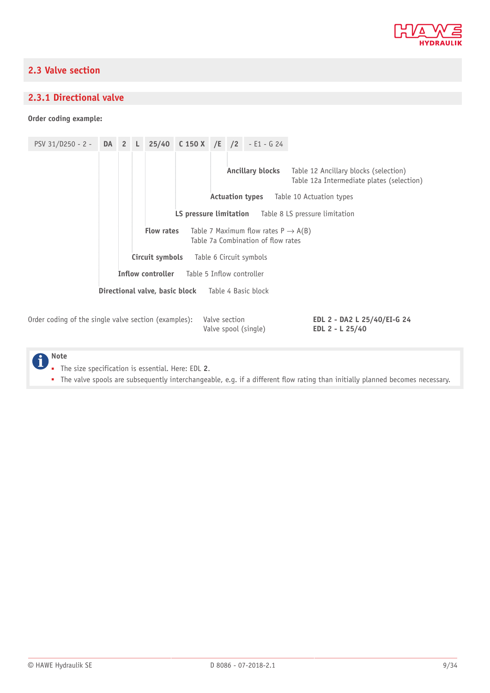

# <span id="page-8-0"></span>**2.3 Valve section**

### <span id="page-8-1"></span>**2.3.1 Directional valve**

**Order coding example:**

PSV 31/D250 - 2 - **DA 2 L 25/40 C 150 X /E /2** - E1 - G 24 **Ancillary blocks** Table 12 Ancillary blocks (selection) Table 12a Intermediate plates (selection) **Actuation types** Table 10 Actuation types **LS pressure limitation** Table 8 LS pressure limitation **Flow rates** Table 7 Maximum flow rates  $P \rightarrow A(B)$ Table 7a Combination of flow rates **Circuit symbols** Table 6 Circuit symbols **Inflow controller** Table 5 Inflow controller **Directional valve, basic block** Table 4 Basic block Order coding of the single valve section (examples): Valve section Valve spool (single) **EDL 2 - DA2 L 25/40/EI-G 24 EDL 2 - L 25/40**

**Note**

■ The size specification is essential. Here: EDL **2**.

• The valve spools are subsequently interchangeable, e.g. if a different flow rating than initially planned becomes necessary.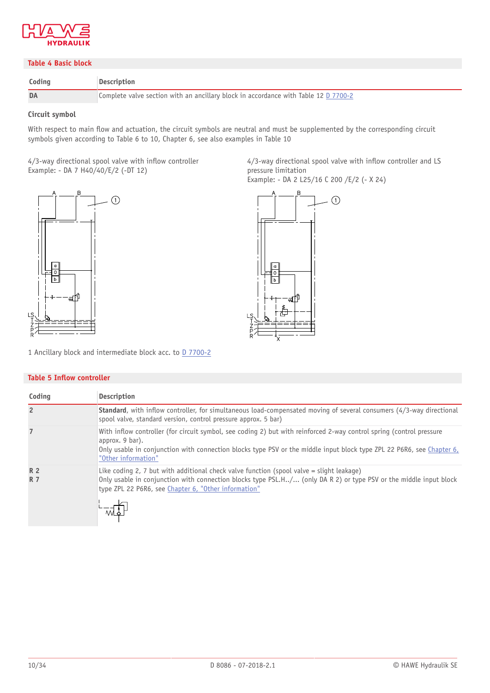

#### **Table 4 Basic block**

| Coding | <b>Description</b>                                                                  |
|--------|-------------------------------------------------------------------------------------|
| DA     | Complete valve section with an ancillary block in accordance with Table 12 D 7700-2 |

#### **Circuit symbol**

With respect to main flow and actuation, the circuit symbols are neutral and must be supplemented by the corresponding circuit symbols given according to Table 6 to 10, Chapter 6, see also examples in Table 10

4/3-way directional spool valve with inflow controller Example: - DA 7 H40/40/E/2 (-DT 12)



4/3-way directional spool valve with inflow controller and LS pressure limitation

Example: - DA 2 L25/16 C 200 /E/2 (- X 24)



1 Ancillary block and intermediate block acc. to **D** 7700-2

#### **Table 5 Inflow controller**

| Coding                  | Description                                                                                                                                                                                                                                                                             |
|-------------------------|-----------------------------------------------------------------------------------------------------------------------------------------------------------------------------------------------------------------------------------------------------------------------------------------|
| $\overline{2}$          | <b>Standard</b> , with inflow controller, for simultaneous load-compensated moving of several consumers (4/3-way directional<br>spool valve, standard version, control pressure approx. 5 bar)                                                                                          |
| $\overline{7}$          | With inflow controller (for circuit symbol, see coding 2) but with reinforced 2-way control spring (control pressure<br>approx. 9 bar).<br>Only usable in conjunction with connection blocks type PSV or the middle input block type ZPL 22 P6R6, see Chapter 6,<br>"Other information" |
| <b>R2</b><br><b>R</b> 7 | Like coding 2, 7 but with additional check valve function (spool valve $=$ slight leakage)<br>Only usable in conjunction with connection blocks type PSL.H/ (only DA R 2) or type PSV or the middle input block<br>type ZPL 22 P6R6, see Chapter 6, "Other information"                 |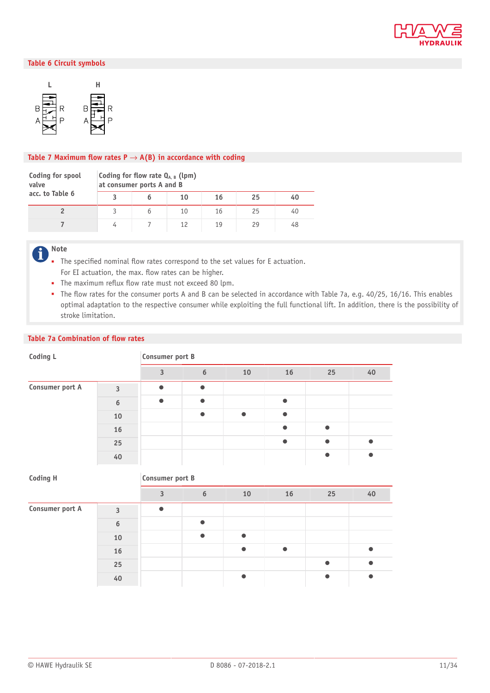

#### **Table 6 Circuit symbols**



#### Table 7 Maximum flow rates  $P \rightarrow A(B)$  in accordance with coding

| Coding for spool<br>valve | Coding for flow rate $Q_{A,B}$ (lpm)<br>at consumer ports A and B |  |    |    |    |    |  |  |  |
|---------------------------|-------------------------------------------------------------------|--|----|----|----|----|--|--|--|
| acc. to Table 6           |                                                                   |  | 10 | 16 | 25 | 40 |  |  |  |
|                           |                                                                   |  | 10 | 16 | 25 | 40 |  |  |  |
|                           |                                                                   |  | 12 | 19 | 29 | 48 |  |  |  |

**Note**  $\mathbf f$ 

- The specified nominal flow rates correspond to the set values for E actuation. For EI actuation, the max. flow rates can be higher.
- The maximum reflux flow rate must not exceed 80 lpm.
- The flow rates for the consumer ports A and B can be selected in accordance with Table 7a, e.g. 40/25, 16/16. This enables optimal adaptation to the respective consumer while exploiting the full functional lift. In addition, there is the possibility of stroke limitation.

#### **Table 7a Combination of flow rates**

| Coding L        | Consumer port B  |           |           |           |           |           |           |  |
|-----------------|------------------|-----------|-----------|-----------|-----------|-----------|-----------|--|
|                 |                  | 3         | 6         | 10        | 16        | 25        | 40        |  |
| Consumer port A | 3                | $\bullet$ | $\bullet$ |           |           |           |           |  |
|                 | $\boldsymbol{6}$ | $\bullet$ | $\bullet$ |           | $\bullet$ |           |           |  |
|                 | 10               |           | $\bullet$ | $\bullet$ | $\bullet$ |           |           |  |
|                 | 16               |           |           |           | $\bullet$ | $\bullet$ |           |  |
|                 | 25               |           |           |           | $\bullet$ | $\bullet$ | $\bullet$ |  |
|                 | 40               |           |           |           |           | $\bullet$ |           |  |
| <b>Coding H</b> | Consumer port B  |           |           |           |           |           |           |  |

|                 |    | $\mathbf{\Omega}$ | 6         | 10        | 16 | 25 | 40 |
|-----------------|----|-------------------|-----------|-----------|----|----|----|
| Consumer port A | 3  | $\bullet$         |           |           |    |    |    |
|                 | 6  |                   | $\bullet$ |           |    |    |    |
|                 | 10 |                   | $\bullet$ | $\bullet$ |    |    |    |
|                 | 16 |                   |           |           |    |    |    |
|                 | 25 |                   |           |           |    | ۰  |    |
|                 | 40 |                   |           |           |    |    |    |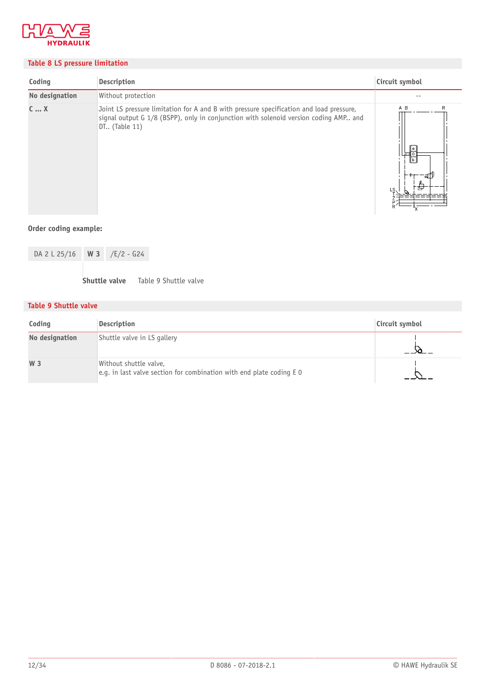

### **Table 8 LS pressure limitation**

| Coding         | Description                                                                                                                                                                                      | Circuit symbol       |
|----------------|--------------------------------------------------------------------------------------------------------------------------------------------------------------------------------------------------|----------------------|
| No designation | Without protection                                                                                                                                                                               | $ -$                 |
| CX             | Joint LS pressure limitation for A and B with pressure specification and load pressure,<br>signal output G 1/8 (BSPP), only in conjunction with solenoid version coding AMP and<br>DT (Table 11) | A B<br>R<br>ัผ<br>LS |

### **Order coding example:**

| DA 2 L 25/16 W 3 /E/2 - G24 |  |
|-----------------------------|--|
|                             |  |

**Shuttle valve** Table 9 Shuttle valve

### **Table 9 Shuttle valve**

| Coding         | Description                                                                                      | Circuit symbol |
|----------------|--------------------------------------------------------------------------------------------------|----------------|
| No designation | Shuttle valve in LS gallery                                                                      |                |
| W 3            | Without shuttle valve,<br>e.g. in last valve section for combination with end plate coding $E_0$ |                |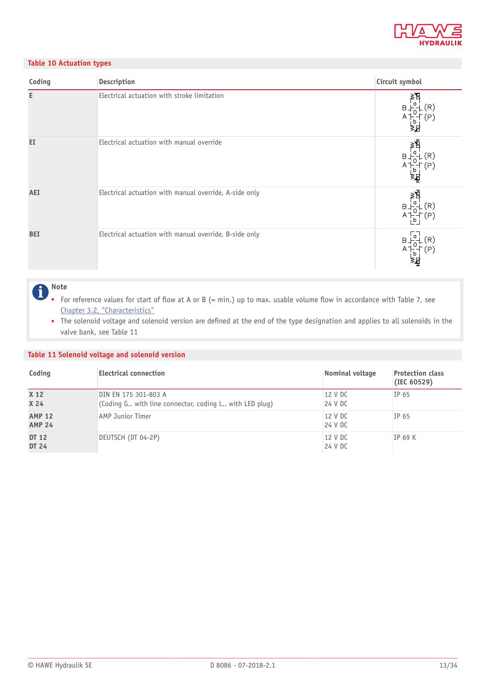

#### **Table 10 Actuation types**

| Coding     | Description                                            | Circuit symbol                   |
|------------|--------------------------------------------------------|----------------------------------|
| E          | Electrical actuation with stroke limitation            | a<br>(R)<br>$B +$<br>A           |
| EI         | Electrical actuation with manual override              | ≱∄<br>a<br>$B-$<br>$\mathsf b$   |
| AEI        | Electrical actuation with manual override, A-side only | ≥ผี<br>(R)<br>$B+$<br>(P)<br>A T |
| <b>BEI</b> | Electrical actuation with manual override, B-side only | $(\mathsf{R})$<br>B.<br>P,       |

#### **Note** A

- For reference values for start of flow at A or B (= min.) up to max. usable volume flow in accordance with Table 7, see [Chapter 3.2, "Characteristics"](#page-16-0)
- The solenoid voltage and solenoid version are defined at the end of the type designation and applies to all solenoids in the valve bank, see Table 11

#### **Table 11 Solenoid voltage and solenoid version**

| Coding                             | <b>Electrical connection</b>                                                   | Nominal voltage    | <b>Protection class</b><br>(IEC 60529) |
|------------------------------------|--------------------------------------------------------------------------------|--------------------|----------------------------------------|
| X <sub>12</sub><br>X <sub>24</sub> | DIN EN 175 301-803 A<br>(Coding G with line connector, coding L with LED plug) | 12 V DC<br>24 V DC | IP 65                                  |
| <b>AMP 12</b><br><b>AMP 24</b>     | <b>AMP Junior Timer</b>                                                        | 12 V DC<br>24 V DC | IP 65                                  |
| DT 12<br>DT 24                     | DEUTSCH (DT 04-2P)                                                             | 12 V DC<br>24 V DC | $IP$ 69 K                              |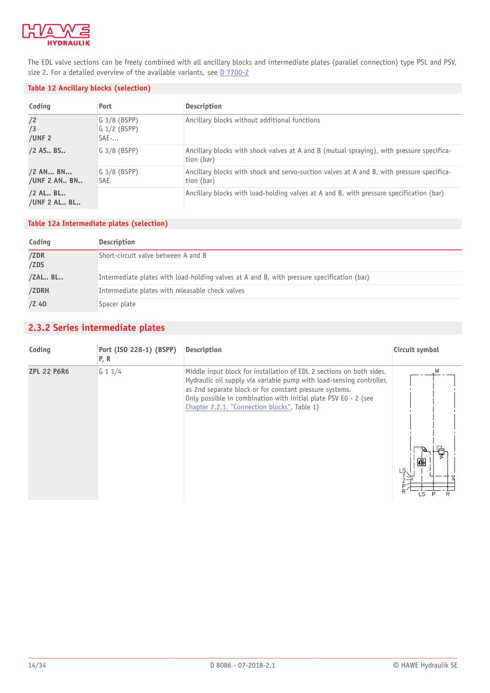

The EDL valve sections can be freely combined with all ancillary blocks and intermediate plates (parallel connection) type PSL and PSV, size 2. For a detailed overview of the available variants, see **D** 7700-2

#### **Table 12 Ancillary blocks (selection)**

| Coding                     | Port                                        | <b>Description</b>                                                                                      |
|----------------------------|---------------------------------------------|---------------------------------------------------------------------------------------------------------|
| /2<br>/3<br>/UNF $2$       | $G$ 3/8 (BSPP)<br>$G$ 1/2 (BSPP)<br>$SAE$ - | Ancillary blocks without additional functions                                                           |
| /2 AS., BS.,               | $G$ 3/8 (BSPP)                              | Ancillary blocks with shock valves at A and B (mutual spraying), with pressure specifica-<br>tion (bar) |
| /2 AN BN<br>/UNF 2 AN BN   | $G$ 3/8 (BSPP)<br><b>SAE</b>                | Ancillary blocks with shock and servo-suction valves at A and B, with pressure specifica-<br>tion (bar) |
| $/2$ AL BL<br>/UNF 2 AL BL |                                             | Ancillary blocks with load-holding valves at A and B, with pressure specification (bar)                 |

### **Table 12a Intermediate plates (selection)**

| Coding       | Description                                                                                |
|--------------|--------------------------------------------------------------------------------------------|
| /ZDR<br>/ZDS | Short-circuit valve between A and B                                                        |
| /ZAL BL      | Intermediate plates with load-holding valves at A and B, with pressure specification (bar) |
| /ZDRH        | Intermediate plates with releasable check valves                                           |
| $/Z$ 40      | Spacer plate                                                                               |

# <span id="page-13-0"></span>**2.3.2 Series intermediate plates**

| Coding             | Port (ISO 228-1) (BSPP)<br>P, R | Description                                                                                                                                                                                                                                                                                                                | Circuit symbol |
|--------------------|---------------------------------|----------------------------------------------------------------------------------------------------------------------------------------------------------------------------------------------------------------------------------------------------------------------------------------------------------------------------|----------------|
| <b>ZPL 22 P6R6</b> | G 1 1/4                         | Middle input block for installation of EDL 2 sections on both sides.<br>Hydraulic oil supply via variable pump with load-sensing controller,<br>as 2nd separate block or for constant pressure systems.<br>Only possible in combination with initial plate PSV E0 - 2 (see<br>Chapter 2.2.1, "Connection blocks", Table 1) | 凾<br>LS<br>١S  |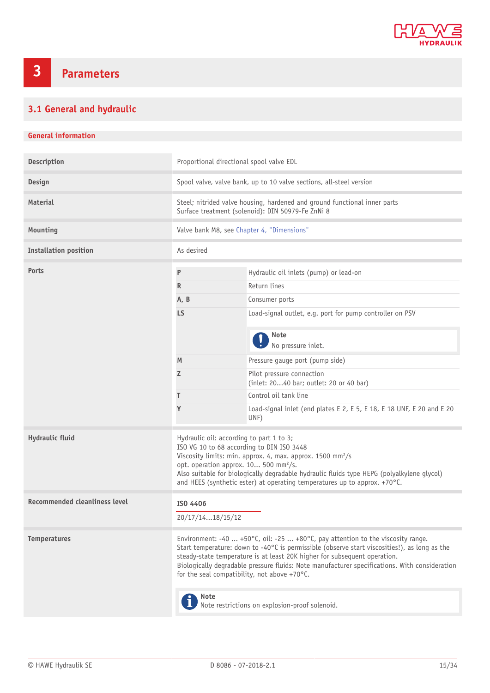

# <span id="page-14-0"></span>**3 Parameters**

# <span id="page-14-1"></span>**3.1 General and hydraulic**

### **General information**

| Description                          | Proportional directional spool valve EDL                                                                                                                                                                                                                                                                                                                                                                                |                                                                               |  |
|--------------------------------------|-------------------------------------------------------------------------------------------------------------------------------------------------------------------------------------------------------------------------------------------------------------------------------------------------------------------------------------------------------------------------------------------------------------------------|-------------------------------------------------------------------------------|--|
| Design                               | Spool valve, valve bank, up to 10 valve sections, all-steel version                                                                                                                                                                                                                                                                                                                                                     |                                                                               |  |
| <b>Material</b>                      | Steel; nitrided valve housing, hardened and ground functional inner parts<br>Surface treatment (solenoid): DIN 50979-Fe ZnNi 8                                                                                                                                                                                                                                                                                          |                                                                               |  |
| Mounting                             |                                                                                                                                                                                                                                                                                                                                                                                                                         | Valve bank M8, see Chapter 4, "Dimensions"                                    |  |
| <b>Installation position</b>         | As desired                                                                                                                                                                                                                                                                                                                                                                                                              |                                                                               |  |
| Ports                                | P                                                                                                                                                                                                                                                                                                                                                                                                                       | Hydraulic oil inlets (pump) or lead-on                                        |  |
|                                      | $\mathsf{R}$                                                                                                                                                                                                                                                                                                                                                                                                            | Return lines                                                                  |  |
|                                      | A, B                                                                                                                                                                                                                                                                                                                                                                                                                    | Consumer ports                                                                |  |
|                                      | <b>LS</b>                                                                                                                                                                                                                                                                                                                                                                                                               | Load-signal outlet, e.g. port for pump controller on PSV                      |  |
|                                      |                                                                                                                                                                                                                                                                                                                                                                                                                         | <b>Note</b><br>No pressure inlet.                                             |  |
|                                      | M                                                                                                                                                                                                                                                                                                                                                                                                                       | Pressure gauge port (pump side)                                               |  |
|                                      | Z                                                                                                                                                                                                                                                                                                                                                                                                                       | Pilot pressure connection<br>(inlet: 2040 bar; outlet: 20 or 40 bar)          |  |
|                                      | T                                                                                                                                                                                                                                                                                                                                                                                                                       | Control oil tank line                                                         |  |
|                                      | Y                                                                                                                                                                                                                                                                                                                                                                                                                       | Load-signal inlet (end plates E 2, E 5, E 18, E 18 UNF, E 20 and E 20<br>UNF) |  |
| Hydraulic fluid                      | Hydraulic oil: according to part 1 to 3;<br>ISO VG 10 to 68 according to DIN ISO 3448<br>Viscosity limits: min. approx. 4, max. approx. 1500 mm <sup>2</sup> /s<br>opt. operation approx. 10 500 mm <sup>2</sup> /s.<br>Also suitable for biologically degradable hydraulic fluids type HEPG (polyalkylene glycol)<br>and HEES (synthetic ester) at operating temperatures up to approx. +70°C.                         |                                                                               |  |
| <b>Recommended cleanliness level</b> | ISO 4406                                                                                                                                                                                                                                                                                                                                                                                                                |                                                                               |  |
|                                      | 20/17/1418/15/12                                                                                                                                                                                                                                                                                                                                                                                                        |                                                                               |  |
| <b>Temperatures</b>                  | Environment: -40  +50°C, oil: -25  +80°C, pay attention to the viscosity range.<br>Start temperature: down to -40°C is permissible (observe start viscosities!), as long as the<br>steady-state temperature is at least 20K higher for subsequent operation.<br>Biologically degradable pressure fluids: Note manufacturer specifications. With consideration<br>for the seal compatibility, not above +70 $\degree$ C. |                                                                               |  |
|                                      | <b>Note</b><br>Note restrictions on explosion-proof solenoid.                                                                                                                                                                                                                                                                                                                                                           |                                                                               |  |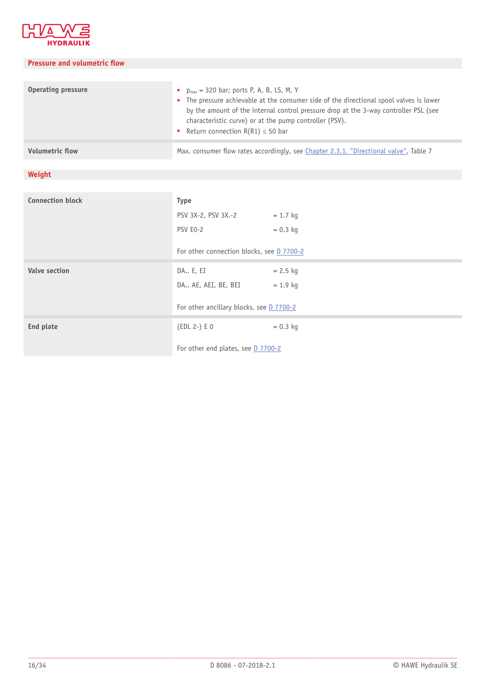

#### **Pressure and volumetric flow**

| <b>Operating pressure</b> | • $p_{max}$ = 320 bar; ports P, A, B, LS, M, Y<br>• The pressure achievable at the consumer side of the directional spool valves is lower<br>by the amount of the internal control pressure drop at the 3-way controller PSL (see<br>characteristic curve) or at the pump controller (PSV).<br>Return connection $R(R1) \le 50$ bar |
|---------------------------|-------------------------------------------------------------------------------------------------------------------------------------------------------------------------------------------------------------------------------------------------------------------------------------------------------------------------------------|
| <b>Volumetric flow</b>    | Max. consumer flow rates accordingly, see Chapter 2.3.1, "Directional valve", Table 7                                                                                                                                                                                                                                               |

# **Weight**

| <b>Connection block</b> | <b>Type</b>                               |            |
|-------------------------|-------------------------------------------|------------|
|                         | PSV 3X-2, PSV 3X .- 2                     | $= 1.7$ kg |
|                         | PSV E0-2                                  | $= 0.3$ kg |
|                         | For other connection blocks, see D 7700-2 |            |
| <b>Valve section</b>    | DA E, EI                                  | $= 2.5$ kg |
|                         | DA AE, AEI, BE, BEI                       | $= 1.9$ kg |
|                         | For other ancillary blocks, see D 7700-2  |            |
| End plate               | $(EDL 2-) E 0$                            | $= 0.3$ kg |
|                         | For other end plates, see D 7700-2        |            |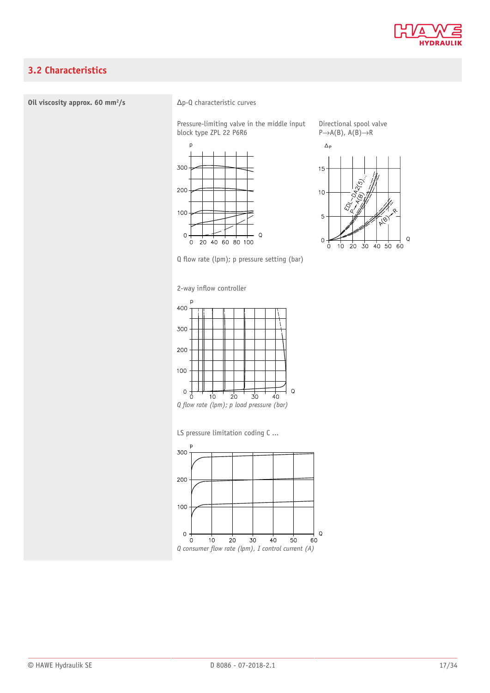

# <span id="page-16-0"></span>**3.2 Characteristics**

#### **Oil viscosity approx. 60 mm2/s** Δp-Q characteristic curves

Pressure-limiting valve in the middle input block type ZPL 22 P6R6





 $\mathsf Q$ 

 $60$ 

Directional spool valve

 $\circ$  $\frac{1}{20}$  $\overline{30}$  $40,50$ ò  $10$ 

 $Q$  flow rate (lpm); p pressure setting (bar)

2-way inflow controller



*Q* flow rate (lpm); p load pressure (bar)

LS pressure limitation coding C ...

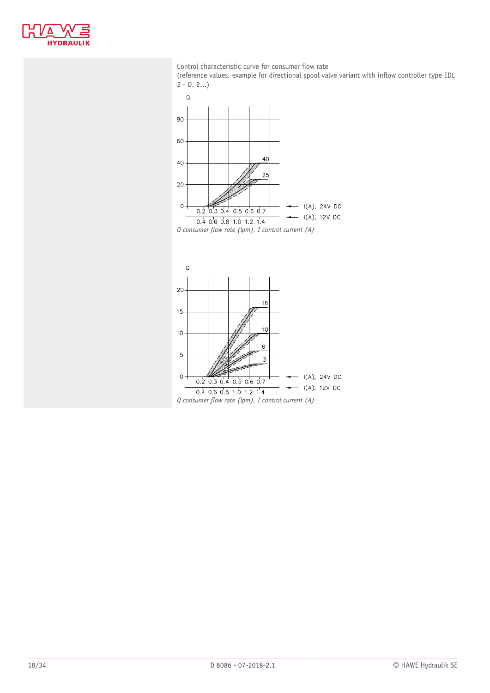

#### Control characteristic curve for consumer flow rate

(reference values, example for directional spool valve variant with inflow controller type EDL  $2 - D. 2...$ 



*Q consumer flow rate (lpm), I control current (A)*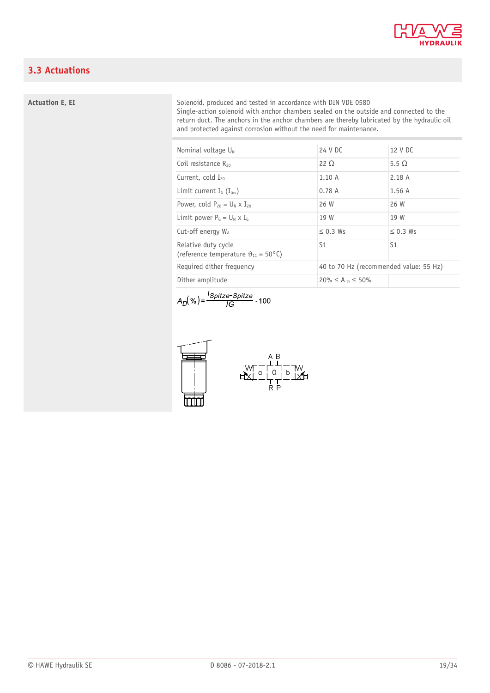

# <span id="page-18-0"></span>**3.3 Actuations**

#### **Actuation E, EI**

#### Solenoid, produced and tested in accordance with DIN VDE 0580 Single-action solenoid with anchor chambers sealed on the outside and connected to the return duct. The anchors in the anchor chambers are thereby lubricated by the hydraulic oil and protected against corrosion without the need for maintenance.

| Nominal voltage $U_N$                                                  | 24 V DC                                | 12 V DC       |
|------------------------------------------------------------------------|----------------------------------------|---------------|
| Coil resistance $R_{20}$                                               | 22 O                                   | 5.5 $\Omega$  |
| Current, cold $I_{20}$                                                 | 1.10A                                  | 2.18A         |
| Limit current $I_{\text{G}}$ ( $I_{\text{lim}}$ )                      | 0.78A                                  | 1.56A         |
| Power, cold $P_{20} = U_N \times I_{20}$                               | 26 W                                   | 26 W          |
| Limit power $P_G = U_N \times I_G$                                     | 19 W                                   | 19 W          |
| Cut-off energy $W_A$                                                   | $\leq$ 0.3 Ws                          | $\leq$ 0.3 Ws |
| Relative duty cycle<br>(reference temperature $\vartheta_{11}$ = 50°C) | S1                                     | S1            |
| Required dither frequency                                              | 40 to 70 Hz (recommended value: 55 Hz) |               |
| Dither amplitude                                                       | $20\% \le A_0 \le 50\%$                |               |

$$
A_D(\%) = \frac{ISpitzer-Spite}{IG} \cdot 100
$$

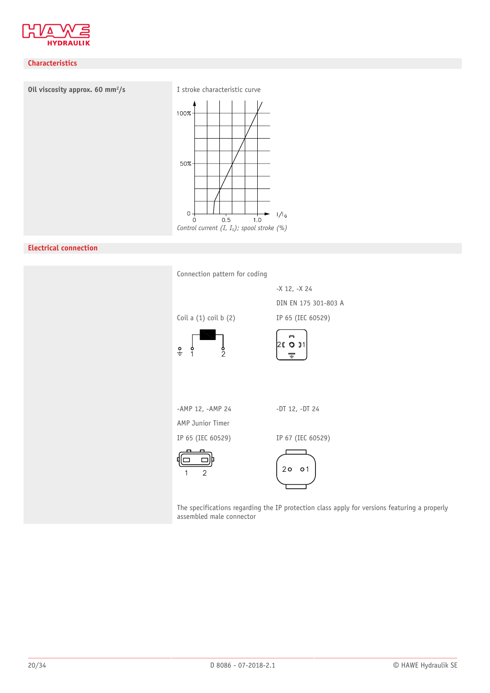

### **Characteristics**



### **Electrical connection**

| Connection pattern for coding  |                                                                                              |
|--------------------------------|----------------------------------------------------------------------------------------------|
|                                | -X 12, -X 24                                                                                 |
|                                | DIN EN 175 301-803 A                                                                         |
| Coil a $(1)$ coil b $(2)$      | IP 65 (IEC 60529)                                                                            |
| $\frac{9}{4}$<br>$\frac{6}{2}$ | ี่<br>26 0 01<br>$\pm$                                                                       |
|                                |                                                                                              |
| -AMP 12, -AMP 24               | $-DT$ 12, $-DT$ 24                                                                           |
| AMP Junior Timer               |                                                                                              |
| IP 65 (IEC 60529)              | IP 67 (IEC 60529)                                                                            |
| $\overline{2}$                 | 20001                                                                                        |
| assembled male connector       | The specifications regarding the IP protection class apply for versions featuring a properly |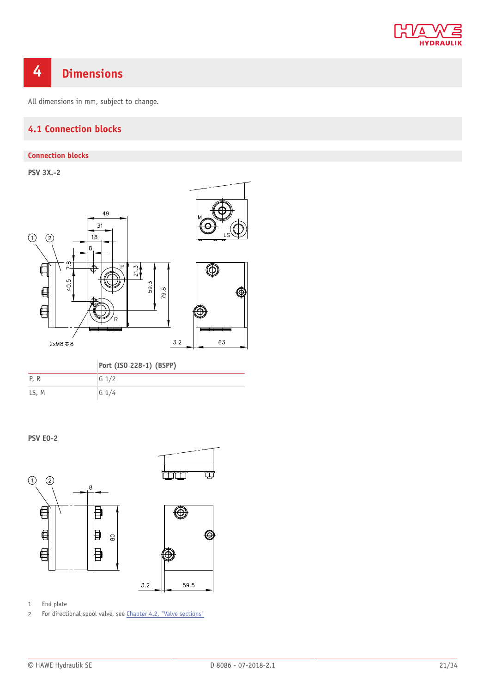

# <span id="page-20-0"></span>**4 Dimensions**

<span id="page-20-1"></span>All dimensions in mm, subject to change.

# **4.1 Connection blocks**

#### **Connection blocks**

**PSV 3X.-2**



## **Port (ISO 228-1) (BSPP)**

| P, R  | $G \frac{1}{2}$ |
|-------|-----------------|
| LS, M | $G \frac{1}{4}$ |

**PSV E0-2**



1 End plate

2 For directional spool valve, see [Chapter 4.2, "Valve sections"](#page-22-0)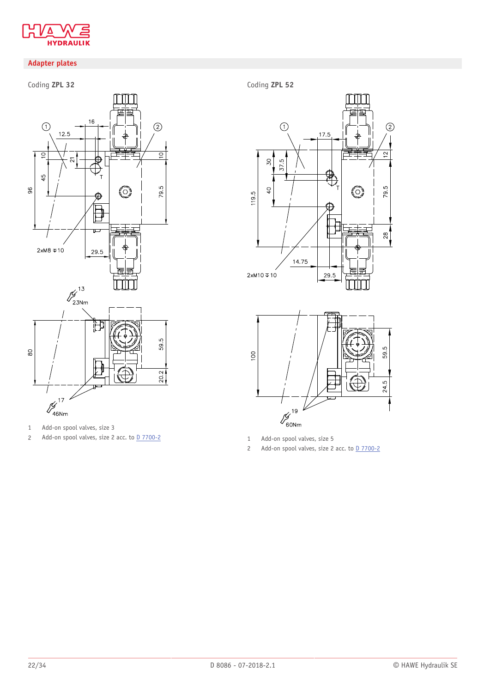

## **Adapter plates**

# Coding **ZPL 32**



1 Add-on spool valves, size 3

2 Add-on spool valves, size 2 acc. to  $\overline{0.7700-2}$ 

Coding **ZPL 52**





1 Add-on spool valves, size 5

2 Add-on spool valves, size 2 acc. to  $\frac{D}{7700-2}$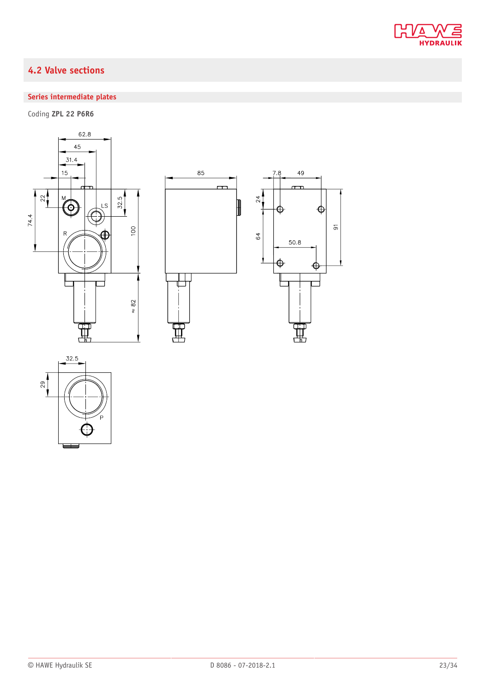

# <span id="page-22-0"></span>**4.2 Valve sections**

# **Series intermediate plates**

Coding **ZPL 22 P6R6**





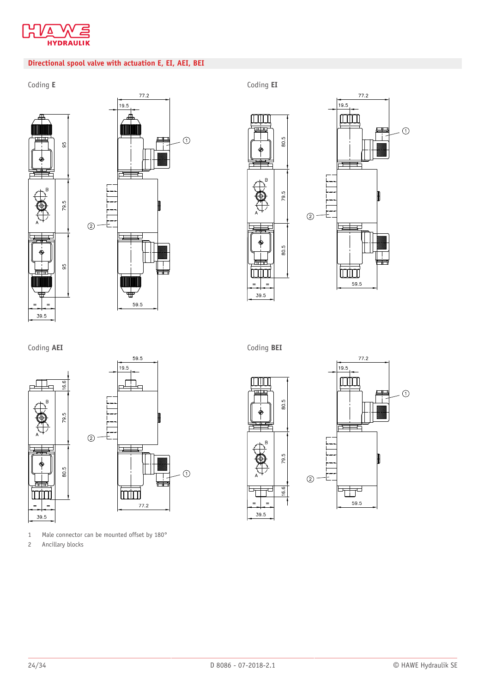

## **Directional spool valve with actuation E, EI, AEI, BEI**





 $77.2$ 





Coding **AEI**



1 Male connector can be mounted offset by 180°

2 Ancillary blocks

Coding **BEI**



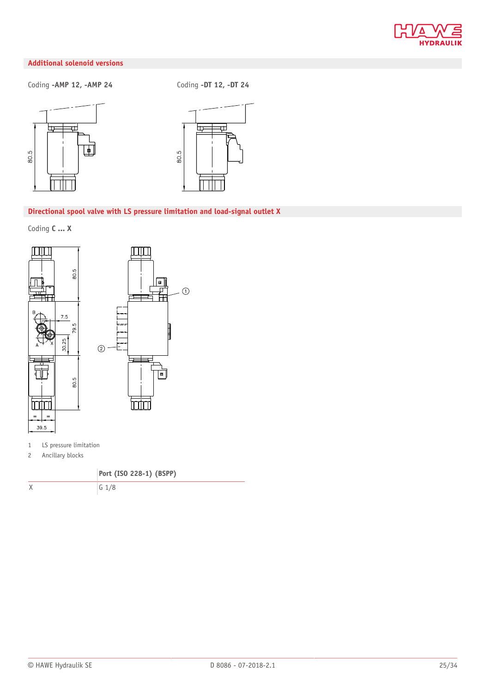

# **Additional solenoid versions**

Coding **-AMP 12, -AMP 24** Coding **-DT 12, -DT 24**





#### **Directional spool valve with LS pressure limitation and load-signal outlet X**

Coding **C ... X**



1 LS pressure limitation

2 Ancillary blocks

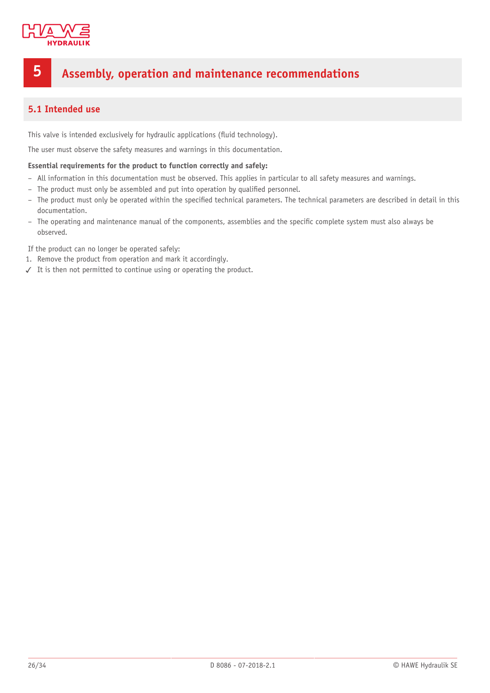

# <span id="page-25-0"></span>**5 Assembly, operation and maintenance recommendations**

# <span id="page-25-1"></span>**5.1 Intended use**

This valve is intended exclusively for hydraulic applications (fluid technology).

The user must observe the safety measures and warnings in this documentation.

#### **Essential requirements for the product to function correctly and safely:**

- All information in this documentation must be observed. This applies in particular to all safety measures and warnings.
- The product must only be assembled and put into operation by qualified personnel.
- The product must only be operated within the specified technical parameters. The technical parameters are described in detail in this documentation.
- The operating and maintenance manual of the components, assemblies and the specific complete system must also always be observed.

If the product can no longer be operated safely:

- 1. Remove the product from operation and mark it accordingly.
- ✓ It is then not permitted to continue using or operating the product.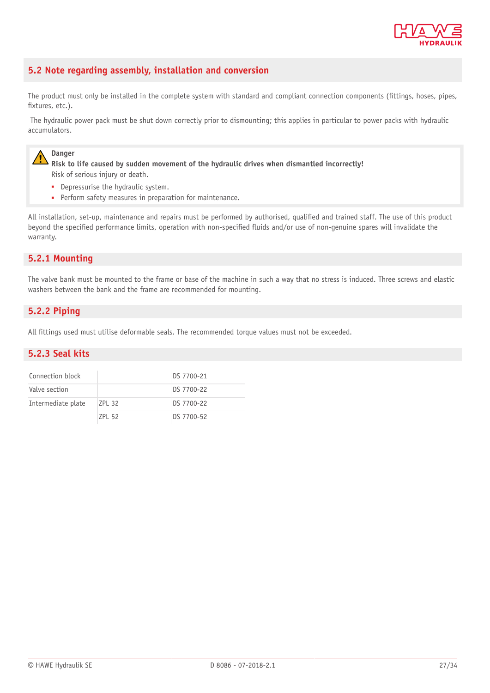

# <span id="page-26-0"></span>**5.2 Note regarding assembly, installation and conversion**

The product must only be installed in the complete system with standard and compliant connection components (fittings, hoses, pipes, fixtures, etc.).

 The hydraulic power pack must be shut down correctly prior to dismounting; this applies in particular to power packs with hydraulic accumulators.

## **Danger**

**Risk to life caused by sudden movement of the hydraulic drives when dismantled incorrectly!** Risk of serious injury or death.

- Depressurise the hydraulic system.
- Perform safety measures in preparation for maintenance.

All installation, set-up, maintenance and repairs must be performed by authorised, qualified and trained staff. The use of this product beyond the specified performance limits, operation with non-specified fluids and/or use of non-genuine spares will invalidate the warranty.

# <span id="page-26-1"></span>**5.2.1 Mounting**

The valve bank must be mounted to the frame or base of the machine in such a way that no stress is induced. Three screws and elastic washers between the bank and the frame are recommended for mounting.

# <span id="page-26-2"></span>**5.2.2 Piping**

<span id="page-26-3"></span>All fittings used must utilise deformable seals. The recommended torque values must not be exceeded.

#### **5.2.3 Seal kits**

| Connection block   |        | DS 7700-21 |
|--------------------|--------|------------|
| Valve section      |        | DS 7700-22 |
| Intermediate plate | 7PI 32 | DS 7700-22 |
|                    | 7PI 52 | DS 7700-52 |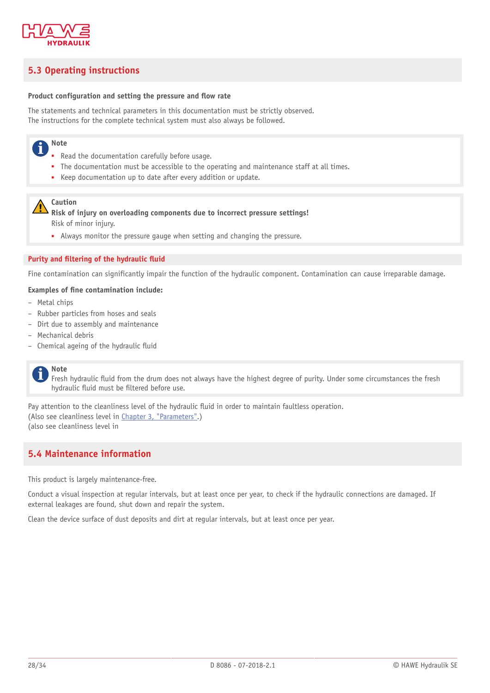

# <span id="page-27-0"></span>**5.3 Operating instructions**

#### **Product configuration and setting the pressure and flow rate**

The statements and technical parameters in this documentation must be strictly observed. The instructions for the complete technical system must also always be followed.

#### **Note** Ť

- Read the documentation carefully before usage.
- The documentation must be accessible to the operating and maintenance staff at all times.
- Keep documentation up to date after every addition or update.

### **Caution**

**Risk of injury on overloading components due to incorrect pressure settings!** Risk of minor injury.

■ Always monitor the pressure gauge when setting and changing the pressure.

#### **Purity and filtering of the hydraulic fluid**

Fine contamination can significantly impair the function of the hydraulic component. Contamination can cause irreparable damage.

#### **Examples of fine contamination include:**

- Metal chips
- Rubber particles from hoses and seals
- Dirt due to assembly and maintenance
- Mechanical debris
- $-$  Chemical ageing of the hydraulic fluid

#### **Note** i

Fresh hydraulic fluid from the drum does not always have the highest degree of purity. Under some circumstances the fresh hydraulic fluid must be filtered before use.

Pay attention to the cleanliness level of the hydraulic fluid in order to maintain faultless operation. (Also see cleanliness level in [Chapter 3, "Parameters"](#page-14-0).) (also see cleanliness level in

# <span id="page-27-1"></span>**5.4 Maintenance information**

This product is largely maintenance-free.

Conduct a visual inspection at regular intervals, but at least once per year, to check if the hydraulic connections are damaged. If external leakages are found, shut down and repair the system.

Clean the device surface of dust deposits and dirt at regular intervals, but at least once per year.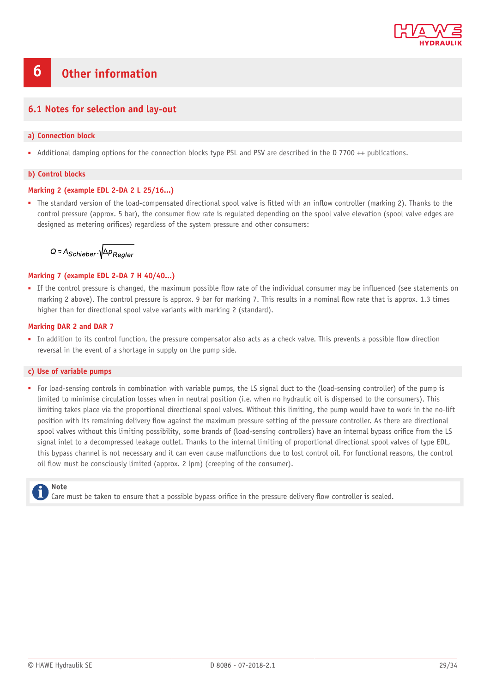

# <span id="page-28-0"></span>**6 Other information**

### <span id="page-28-1"></span>**6.1 Notes for selection and lay-out**

#### **a) Connection block**

■ Additional damping options for the connection blocks type PSL and PSV are described in the D 7700 ++ publications.

#### **b) Control blocks**

#### **Marking 2 (example EDL 2-DA 2 L 25/16...)**

• The standard version of the load-compensated directional spool valve is fitted with an inflow controller (marking 2). Thanks to the control pressure (approx. 5 bar), the consumer flow rate is regulated depending on the spool valve elevation (spool valve edges are designed as metering orifices) regardless of the system pressure and other consumers:

 $Q \approx A_{\text{Schieber}} \sqrt{\Delta p_{\text{Regler}}}$ 

#### **Marking 7 (example EDL 2-DA 7 H 40/40...)**

• If the control pressure is changed, the maximum possible flow rate of the individual consumer may be influenced (see statements on marking 2 above). The control pressure is approx. 9 bar for marking 7. This results in a nominal flow rate that is approx. 1.3 times higher than for directional spool valve variants with marking 2 (standard).

#### **Marking DAR 2 and DAR 7**

• In addition to its control function, the pressure compensator also acts as a check valve. This prevents a possible flow direction reversal in the event of a shortage in supply on the pump side.

#### **c) Use of variable pumps**

■ For load-sensing controls in combination with variable pumps, the LS signal duct to the (load-sensing controller) of the pump is limited to minimise circulation losses when in neutral position (i.e. when no hydraulic oil is dispensed to the consumers). This limiting takes place via the proportional directional spool valves. Without this limiting, the pump would have to work in the no-lift position with its remaining delivery flow against the maximum pressure setting of the pressure controller. As there are directional spool valves without this limiting possibility, some brands of (load-sensing controllers) have an internal bypass orifice from the LS signal inlet to a decompressed leakage outlet. Thanks to the internal limiting of proportional directional spool valves of type EDL, this bypass channel is not necessary and it can even cause malfunctions due to lost control oil. For functional reasons, the control oil flow must be consciously limited (approx. 2 lpm) (creeping of the consumer).

# **Note**

Care must be taken to ensure that a possible bypass orifice in the pressure delivery flow controller is sealed.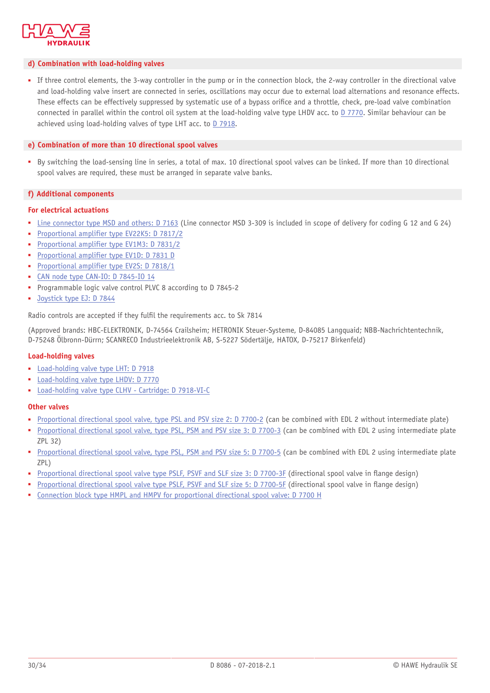

#### **d) Combination with load-holding valves**

■ If three control elements, the 3-way controller in the pump or in the connection block, the 2-way controller in the directional valve and load-holding valve insert are connected in series, oscillations may occur due to external load alternations and resonance effects. These effects can be effectively suppressed by systematic use of a bypass orifice and a throttle, check, pre-load valve combination connected in parallel within the control oil system at the load-holding valve type LHDV acc. to [D 7770](http://downloads.hawe.com/7/7/D7770-en.pdf). Similar behaviour can be achieved using load-holding valves of type LHT acc. to [D 7918.](http://downloads.hawe.com/7/9/D7918-en.pdf)

#### **e) Combination of more than 10 directional spool valves**

■ By switching the load-sensing line in series, a total of max. 10 directional spool valves can be linked. If more than 10 directional spool valves are required, these must be arranged in separate valve banks.

#### **f) Additional components**

#### **For electrical actuations**

- [Line connector type MSD and others: D 7163](http://downloads.hawe.com/7/1/D7163-en.pdf) (Line connector MSD 3-309 is included in scope of delivery for coding G 12 and G 24)
- [Proportional amplifier type EV22K5: D 7817/2](http://downloads.hawe.com/7/8/D78172-en.pdf)
- [Proportional amplifier type EV1M3: D 7831/2](http://downloads.hawe.com/7/8/D78312-en.pdf)
- [Proportional amplifier type EV1D: D 7831 D](http://downloads.hawe.com/7/8/D7831D-en.pdf)
- [Proportional amplifier type EV2S: D 7818/1](http://downloads.hawe.com/7/8/D78181-en.pdf)
- [CAN node type CAN-IO: D 7845-IO 14](http://downloads.hawe.com/7/8/D7845-IO_14-en.pdf)
- Programmable logic valve control PLVC 8 according to D 7845-2
- [Joystick type EJ: D 7844](http://downloads.hawe.com/7/8/D7844-en.pdf)

Radio controls are accepted if they fulfil the requirements acc. to Sk 7814

(Approved brands: HBC-ELEKTRONIK, D-74564 Crailsheim; HETRONIK Steuer-Systeme, D-84085 Langquaid; NBB-Nachrichtentechnik, D-75248 Ölbronn-Dürrn; SCANRECO Industrieelektronik AB, S-5227 Södertälje, HATOX, D-75217 Birkenfeld)

#### **Load-holding valves**

- [Load-holding valve type LHT: D 7918](http://downloads.hawe.com/7/9/D7918-en.pdf)
- [Load-holding valve type LHDV: D 7770](http://downloads.hawe.com/7/7/D7770-en.pdf)
- [Load-holding valve type CLHV Cartridge: D 7918-VI-C](http://downloads.hawe.com/7/9/D7918VIC-en.pdf)

#### **Other valves**

- [Proportional directional spool valve, type PSL and PSV size 2: D 7700-2](http://downloads.hawe.com/7/7/D77002-en.pdf) (can be combined with EDL 2 without intermediate plate)
- [Proportional directional spool valve, type PSL, PSM and PSV size 3: D 7700-3](http://downloads.hawe.com/7/7/D77003-en.pdf) (can be combined with EDL 2 using intermediate plate ZPL 32)
- [Proportional directional spool valve, type PSL, PSM and PSV size 5: D 7700-5](http://downloads.hawe.com/7/7/D77005-en.pdf) (can be combined with EDL 2 using intermediate plate ZPL)
- [Proportional directional spool valve type PSLF, PSVF and SLF size 3: D 7700-3F](http://www.hawe.de/en/products/product/product/psvf-proportional-directional-spool-valves/) (directional spool valve in flange design)
- [Proportional directional spool valve type PSLF, PSVF and SLF size 5: D 7700-5F](http://www.hawe.de/en/products/product/product/psvf-proportional-directional-spool-valves/) (directional spool valve in flange design)
- [Connection block type HMPL and HMPV for proportional directional spool valve: D 7700 H](http://downloads.hawe.com/7/7/D7700H-en.pdf)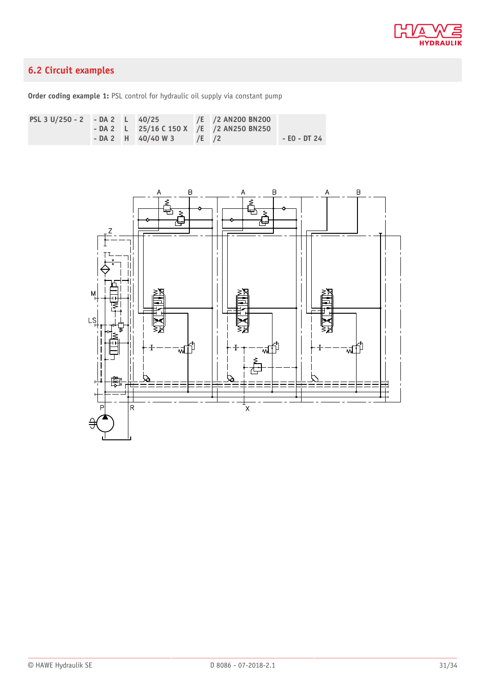

# <span id="page-30-0"></span>**6.2 Circuit examples**

**Order coding example 1:** PSL control for hydraulic oil supply via constant pump

| PSL 3 U/250 - 2 - DA 2 L 40/25 |  |                          | /E /2 AN200 BN200                         |              |
|--------------------------------|--|--------------------------|-------------------------------------------|--------------|
|                                |  |                          | $-DA$ 2 L 25/16 C 150 X /E /2 AN250 BN250 |              |
|                                |  | $-DA2$ H 40/40 W 3 /E /2 |                                           | - EO - DT 24 |

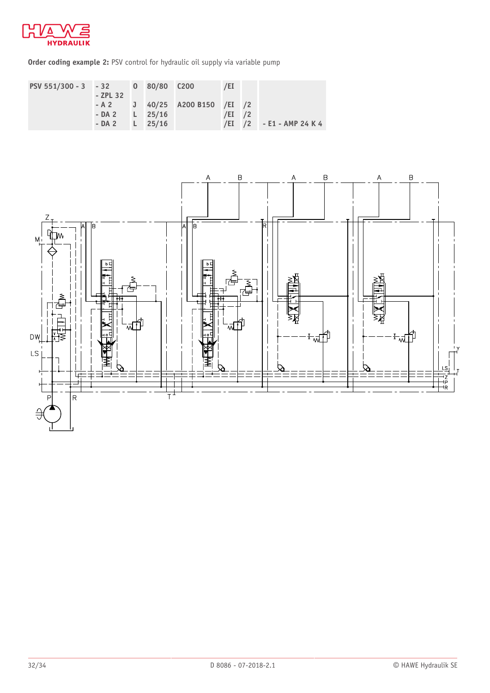

**Order coding example 2: PSV** control for hydraulic oil supply via variable pump



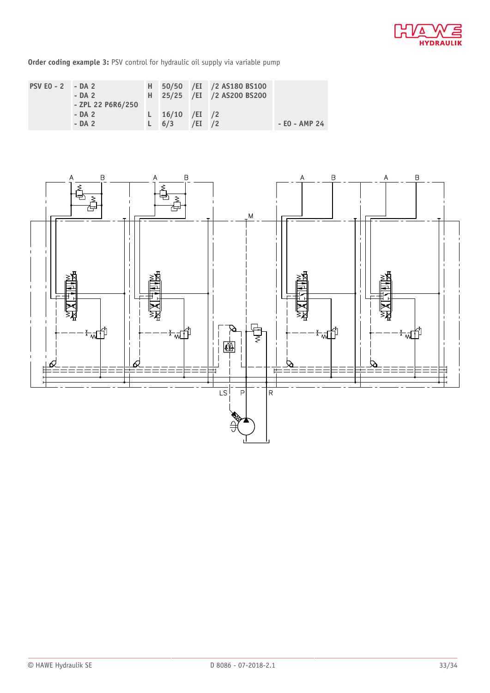

**Order coding example 3:** PSV control for hydraulic oil supply via variable pump